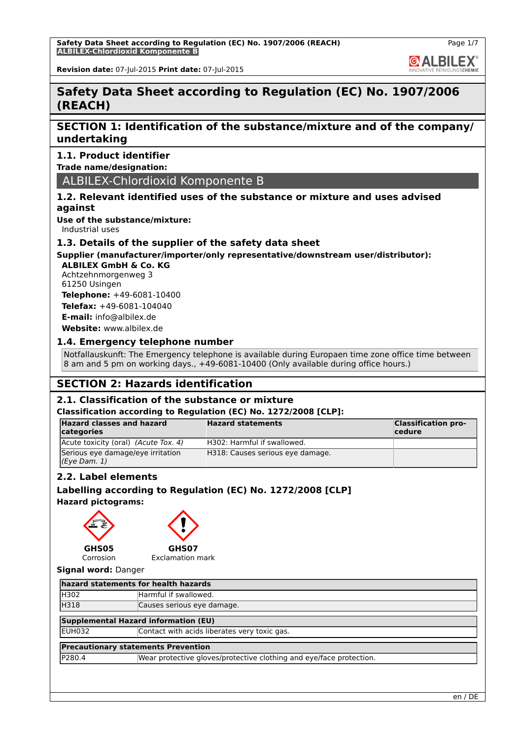**Safety Data Sheet according to Regulation (EC) No. 1907/2006 (REACH) ALBILEX-Chlordioxid Komponente B**

**GALBILEX** 

**Revision date:** 07-Jul-2015 **Print date:** 07-Jul-2015

# **Safety Data Sheet according to Regulation (EC) No. 1907/2006 (REACH)**

# **SECTION 1: Identification of the substance/mixture and of the company/ undertaking**

# **1.1. Product identifier**

**Trade name/designation:**

# ALBILEX-Chlordioxid Komponente B

# **1.2. Relevant identified uses of the substance or mixture and uses advised against**

**Use of the substance/mixture:**

Industrial uses

## **1.3. Details of the supplier of the safety data sheet**

# **Supplier (manufacturer/importer/only representative/downstream user/distributor):**

**ALBILEX GmbH & Co. KG** Achtzehnmorgenweg 3 61250 Usingen **Telephone:** +49-6081-10400

**Telefax:** +49-6081-104040 **E-mail:** info@albilex.de

**Website:** www.albilex.de

# **1.4. Emergency telephone number**

Notfallauskunft: The Emergency telephone is available during Europaen time zone office time between 8 am and 5 pm on working days., +49-6081-10400 (Only available during office hours.)

# **SECTION 2: Hazards identification**

# **2.1. Classification of the substance or mixture**

### **Classification according to Regulation (EC) No. 1272/2008 [CLP]:**

| <b>Hazard classes and hazard</b><br>categories    | <b>Hazard statements</b>         | <b>Classification pro-</b><br>cedure |
|---------------------------------------------------|----------------------------------|--------------------------------------|
| Acute toxicity (oral) (Acute Tox. 4)              | H302: Harmful if swallowed.      |                                      |
| Serious eye damage/eye irritation<br>(Eye Dam. 1) | H318: Causes serious eye damage. |                                      |

# **2.2. Label elements**

# **Labelling according to Regulation (EC) No. 1272/2008 [CLP]**

**Hazard pictograms:**





**GHS07** Exclamation mark

Corrosion

**Signal word:** Danger

| hazard statements for health hazards       |                                                                     |  |  |
|--------------------------------------------|---------------------------------------------------------------------|--|--|
| <b>H302</b>                                | Harmful if swallowed.                                               |  |  |
| H318                                       | Causes serious eye damage.                                          |  |  |
|                                            | Supplemental Hazard information (EU)                                |  |  |
| IEUH032                                    | Contact with acids liberates very toxic gas.                        |  |  |
| <b>Precautionary statements Prevention</b> |                                                                     |  |  |
| <b>IP280.4</b>                             | Wear protective gloves/protective clothing and eye/face protection. |  |  |
|                                            |                                                                     |  |  |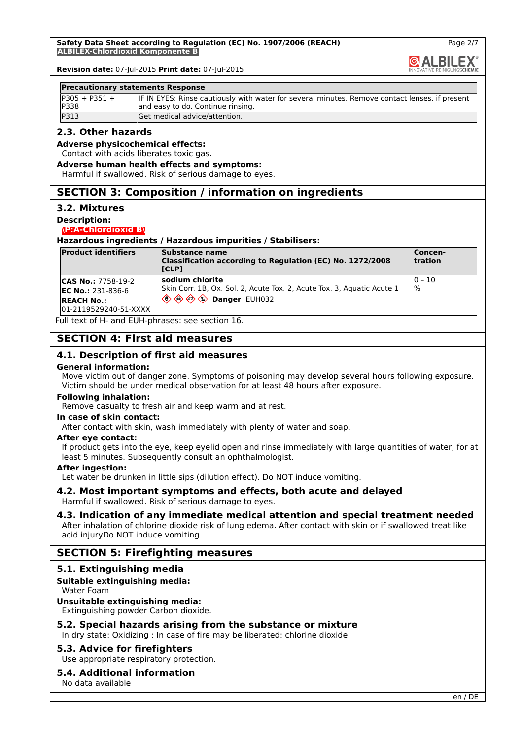

Page 2/7

**Revision date:** 07-Jul-2015 **Print date:** 07-Jul-2015

#### **Precautionary statements Response**

| $IP305 + P351 +$ | IF IN EYES: Rinse cautiously with water for several minutes. Remove contact lenses, if present |
|------------------|------------------------------------------------------------------------------------------------|
| <b>IP338</b>     | and easy to do. Continue rinsing.                                                              |
| P313             | Get medical advice/attention.                                                                  |

## **2.3. Other hazards**

#### **Adverse physicochemical effects:**

Contact with acids liberates toxic gas.

#### **Adverse human health effects and symptoms:**

Harmful if swallowed. Risk of serious damage to eyes.

# **SECTION 3: Composition / information on ingredients**

#### **3.2. Mixtures**

#### **Description:**

#### **\P:A-Chlordioxid B\**

**Hazardous ingredients / Hazardous impurities / Stabilisers:**

| <b>Product identifiers</b>                  | Substance name<br>Classification according to Regulation (EC) No. 1272/2008<br>ICLPI | Concen-<br>tration         |
|---------------------------------------------|--------------------------------------------------------------------------------------|----------------------------|
| <b>CAS No.: 7758-19-2</b>                   | sodium chlorite                                                                      | $ 0 - 10$<br>$\frac{9}{6}$ |
| <b>IEC No.:</b> 231-836-6                   | Skin Corr. 1B, Ox. Sol. 2, Acute Tox. 2, Acute Tox. 3, Aguatic Acute 1               |                            |
| <b>IREACH No.:</b><br>01-2119529240-51-XXXX |                                                                                      |                            |

Full text of H- and EUH-phrases: see section 16.

# **SECTION 4: First aid measures**

### **4.1. Description of first aid measures**

#### **General information:**

Move victim out of danger zone. Symptoms of poisoning may develop several hours following exposure. Victim should be under medical observation for at least 48 hours after exposure.

#### **Following inhalation:**

Remove casualty to fresh air and keep warm and at rest.

## **In case of skin contact:**

After contact with skin, wash immediately with plenty of water and soap.

#### **After eye contact:**

If product gets into the eye, keep eyelid open and rinse immediately with large quantities of water, for at least 5 minutes. Subsequently consult an ophthalmologist.

#### **After ingestion:**

Let water be drunken in little sips (dilution effect). Do NOT induce vomiting.

### **4.2. Most important symptoms and effects, both acute and delayed** Harmful if swallowed. Risk of serious damage to eyes.

# **4.3. Indication of any immediate medical attention and special treatment needed**

After inhalation of chlorine dioxide risk of lung edema. After contact with skin or if swallowed treat like acid injuryDo NOT induce vomiting.

# **SECTION 5: Firefighting measures**

### **5.1. Extinguishing media**

## **Suitable extinguishing media:**

Water Foam

## **Unsuitable extinguishing media:**

Extinguishing powder Carbon dioxide.

### **5.2. Special hazards arising from the substance or mixture**

In dry state: Oxidizing ; In case of fire may be liberated: chlorine dioxide

### **5.3. Advice for firefighters**

Use appropriate respiratory protection.

# **5.4. Additional information**

No data available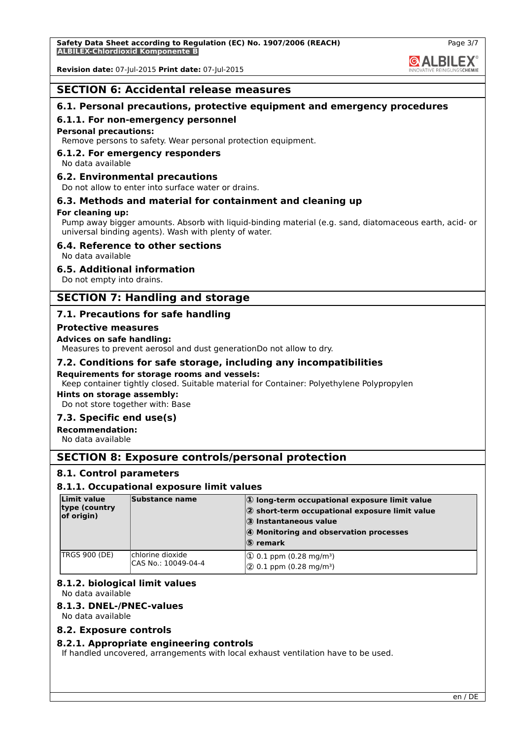# **SECTION 6: Accidental release measures**

# **6.1. Personal precautions, protective equipment and emergency procedures**

## **6.1.1. For non-emergency personnel**

#### **Personal precautions:**

Remove persons to safety. Wear personal protection equipment.

## **6.1.2. For emergency responders**

No data available

## **6.2. Environmental precautions**

Do not allow to enter into surface water or drains.

# **6.3. Methods and material for containment and cleaning up**

### **For cleaning up:**

Pump away bigger amounts. Absorb with liquid-binding material (e.g. sand, diatomaceous earth, acid- or universal binding agents). Wash with plenty of water.

## **6.4. Reference to other sections**

No data available

# **6.5. Additional information**

Do not empty into drains.

# **SECTION 7: Handling and storage**

# **7.1. Precautions for safe handling**

### **Protective measures**

#### **Advices on safe handling:**

Measures to prevent aerosol and dust generationDo not allow to dry.

# **7.2. Conditions for safe storage, including any incompatibilities**

#### **Requirements for storage rooms and vessels:**

Keep container tightly closed. Suitable material for Container: Polyethylene Polypropylen

# **Hints on storage assembly:**

Do not store together with: Base

# **7.3. Specific end use(s)**

**Recommendation:**

No data available

# **SECTION 8: Exposure controls/personal protection**

### **8.1. Control parameters**

### **8.1.1. Occupational exposure limit values**

| Limit value<br>type (country<br>of origin) | Substance name                          | $ 0\rangle$ long-term occupational exposure limit value<br>$ 2$ short-term occupational exposure limit value<br>3 Instantaneous value<br>4 Monitoring and observation processes<br>$ S\rangle$ remark |
|--------------------------------------------|-----------------------------------------|-------------------------------------------------------------------------------------------------------------------------------------------------------------------------------------------------------|
| <b>TRGS 900 (DE)</b>                       | chlorine dioxide<br>CAS No.: 10049-04-4 | $ 0.1$ ppm (0.28 mg/m <sup>3</sup> )<br>$ 2$ 0.1 ppm (0.28 mg/m <sup>3</sup> )                                                                                                                        |

# **8.1.2. biological limit values**

No data available

# **8.1.3. DNEL-/PNEC-values**

No data available

### **8.2. Exposure controls**

### **8.2.1. Appropriate engineering controls**

If handled uncovered, arrangements with local exhaust ventilation have to be used.

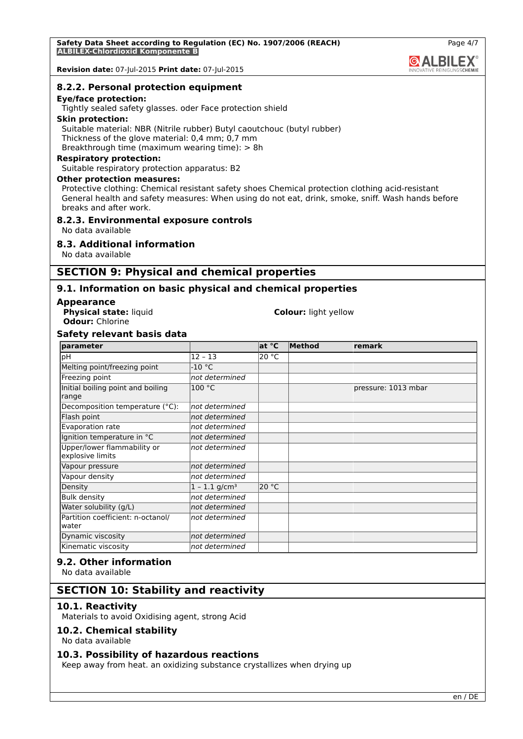#### **8.2.2. Personal protection equipment**

#### **Eye/face protection:**

Tightly sealed safety glasses. oder Face protection shield

#### **Skin protection:**

Suitable material: NBR (Nitrile rubber) Butyl caoutchouc (butyl rubber) Thickness of the glove material: 0,4 mm; 0,7 mm Breakthrough time (maximum wearing time): > 8h

# **Respiratory protection:**

Suitable respiratory protection apparatus: B2

#### **Other protection measures:**

Protective clothing: Chemical resistant safety shoes Chemical protection clothing acid-resistant General health and safety measures: When using do not eat, drink, smoke, sniff. Wash hands before breaks and after work.

## **8.2.3. Environmental exposure controls**

No data available

## **8.3. Additional information**

No data available

# **SECTION 9: Physical and chemical properties**

## **9.1. Information on basic physical and chemical properties**

#### **Appearance**

**Odour:** Chlorine

# **Physical state:** liquid **Colour:** light yellow

## **Safety relevant basis data**

| parameter                                       |                             | at °C | Method | remark              |
|-------------------------------------------------|-----------------------------|-------|--------|---------------------|
| рH                                              | $12 - 13$                   | 20 °C |        |                     |
| Melting point/freezing point                    | -10 °C                      |       |        |                     |
| Freezing point                                  | not determined              |       |        |                     |
| Initial boiling point and boiling<br>range      | 100 °C                      |       |        | pressure: 1013 mbar |
| Decomposition temperature (°C):                 | not determined              |       |        |                     |
| Flash point                                     | not determined              |       |        |                     |
| Evaporation rate                                | not determined              |       |        |                     |
| Ignition temperature in °C                      | not determined              |       |        |                     |
| Upper/lower flammability or<br>explosive limits | not determined              |       |        |                     |
| Vapour pressure                                 | not determined              |       |        |                     |
| Vapour density                                  | not determined              |       |        |                     |
| Density                                         | $1 - 1.1$ g/cm <sup>3</sup> | 20 °C |        |                     |
| <b>Bulk density</b>                             | not determined              |       |        |                     |
| Water solubility (g/L)                          | not determined              |       |        |                     |
| Partition coefficient: n-octanol/<br>water      | not determined              |       |        |                     |
| Dynamic viscosity                               | not determined              |       |        |                     |
| Kinematic viscosity                             | not determined              |       |        |                     |

# **9.2. Other information**

No data available

# **SECTION 10: Stability and reactivity**

#### **10.1. Reactivity**

Materials to avoid Oxidising agent, strong Acid

### **10.2. Chemical stability**

No data available

### **10.3. Possibility of hazardous reactions**

Keep away from heat. an oxidizing substance crystallizes when drying up

**@ALBILEX**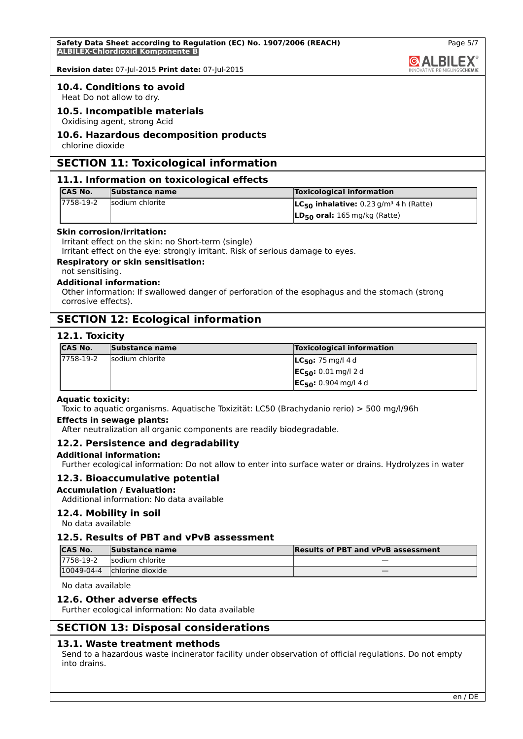

Page 5/7

**Revision date:** 07-Jul-2015 **Print date:** 07-Jul-2015

## **10.4. Conditions to avoid**

Heat Do not allow to dry.

# **10.5. Incompatible materials**

Oxidising agent, strong Acid

#### **10.6. Hazardous decomposition products**

chlorine dioxide

# **SECTION 11: Toxicological information**

#### **11.1. Information on toxicological effects**

| <b>CAS No.</b> | Substance name  | <b>Toxicological information</b>                        |
|----------------|-----------------|---------------------------------------------------------|
| 17758-19-2     | sodium chlorite | $LC_{50}$ inhalative: 0.23 g/m <sup>3</sup> 4 h (Ratte) |
|                |                 | $ LD_{50}$ oral: 165 mg/kg (Ratte)                      |

#### **Skin corrosion/irritation:**

Irritant effect on the skin: no Short-term (single)

Irritant effect on the eye: strongly irritant. Risk of serious damage to eyes.

# **Respiratory or skin sensitisation:**

not sensitising.

#### **Additional information:**

Other information: If swallowed danger of perforation of the esophagus and the stomach (strong corrosive effects).

# **SECTION 12: Ecological information**

# **12.1. Toxicity**

| <b>CAS No.</b> | <b>Substance name</b> | <b>Toxicological information</b>                         |
|----------------|-----------------------|----------------------------------------------------------|
| 17758-19-2     | sodium chlorite       | $ LC_{50}: 75$ mg/l 4d                                   |
|                |                       | $ EC_{50}: 0.01$ mg/l 2 d                                |
|                |                       | $ \mathsf{EC}_{50}: 0.904 \,\mathrm{mg}/14 \,\mathrm{d}$ |

## **Aquatic toxicity:**

Toxic to aquatic organisms. Aquatische Toxizität: LC50 (Brachydanio rerio) > 500 mg/l/96h

#### **Effects in sewage plants:**

After neutralization all organic components are readily biodegradable.

### **12.2. Persistence and degradability**

### **Additional information:**

Further ecological information: Do not allow to enter into surface water or drains. Hydrolyzes in water

# **12.3. Bioaccumulative potential**

# **Accumulation / Evaluation:**

Additional information: No data available

### **12.4. Mobility in soil**

No data available

## **12.5. Results of PBT and vPvB assessment**

| <b>CAS No.</b> | Substance name   | <b>Results of PBT and vPvB assessment</b> |
|----------------|------------------|-------------------------------------------|
| 17758-19-2     | sodium chlorite  | _                                         |
| 10049-04-4     | chlorine dioxide |                                           |

No data available

### **12.6. Other adverse effects**

Further ecological information: No data available

# **SECTION 13: Disposal considerations**

### **13.1. Waste treatment methods**

Send to a hazardous waste incinerator facility under observation of official regulations. Do not empty into drains.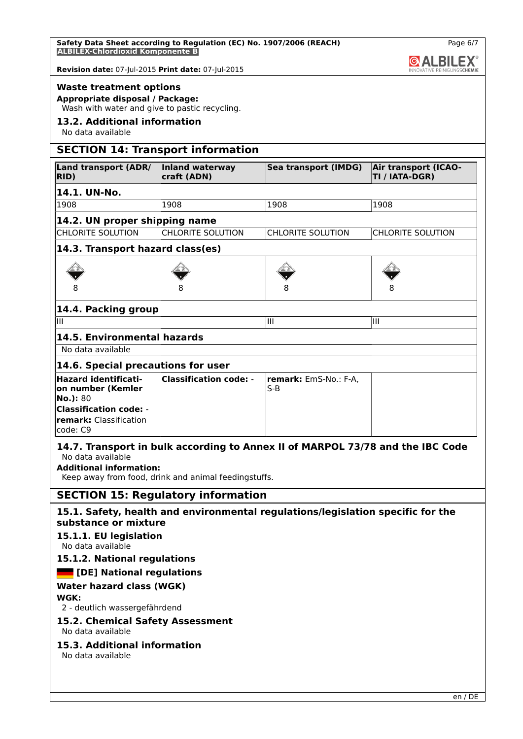| Safety Data Sheet according to Regulation (EC) No. 1907/2006 (REACH) |  |  |
|----------------------------------------------------------------------|--|--|
| <b>ALBILEX-Chlordioxid Komponente B</b>                              |  |  |



## **Waste treatment options**

**Appropriate disposal / Package:**

Wash with water and give to pastic recycling.

# **13.2. Additional information**

No data available

# **SECTION 14: Transport information**

| Land transport (ADR/<br>RID)                                        | Inland waterway<br>craft (ADN) | Sea transport (IMDG)                  | <b>Air transport (ICAO-</b><br>TI / IATA-DGR) |  |
|---------------------------------------------------------------------|--------------------------------|---------------------------------------|-----------------------------------------------|--|
| 14.1. UN-No.                                                        |                                |                                       |                                               |  |
| 1908                                                                | 1908                           | 1908                                  | 1908                                          |  |
| 14.2. UN proper shipping name                                       |                                |                                       |                                               |  |
| <b>CHLORITE SOLUTION</b>                                            | <b>CHLORITE SOLUTION</b>       | <b>CHLORITE SOLUTION</b>              | <b>CHLORITE SOLUTION</b>                      |  |
| 14.3. Transport hazard class(es)                                    |                                |                                       |                                               |  |
|                                                                     |                                |                                       |                                               |  |
|                                                                     |                                | 8                                     | 8                                             |  |
| 14.4. Packing group                                                 |                                |                                       |                                               |  |
| Ш                                                                   |                                | Ш                                     | Ш                                             |  |
| 14.5. Environmental hazards                                         |                                |                                       |                                               |  |
| No data available                                                   |                                |                                       |                                               |  |
| 14.6. Special precautions for user                                  |                                |                                       |                                               |  |
| <b>Hazard identificati-</b><br>on number (Kemler<br>No.): 80        | <b>Classification code: -</b>  | <b>remark:</b> EmS-No.: F-A,<br>$S-B$ |                                               |  |
| <b>Classification code: -</b><br>remark: Classification<br>code: C9 |                                |                                       |                                               |  |

# **14.7. Transport in bulk according to Annex II of MARPOL 73/78 and the IBC Code** No data available

**Additional information:**

Keep away from food, drink and animal feedingstuffs.

# **SECTION 15: Regulatory information**

# **15.1. Safety, health and environmental regulations/legislation specific for the substance or mixture**

# **15.1.1. EU legislation**

No data available

# **15.1.2. National regulations**

# *<b>EXECUTE:* [DE] National regulations

# **Water hazard class (WGK)**

# **WGK:**

2 - deutlich wassergefährdend

# **15.2. Chemical Safety Assessment**

No data available

# **15.3. Additional information**

No data available